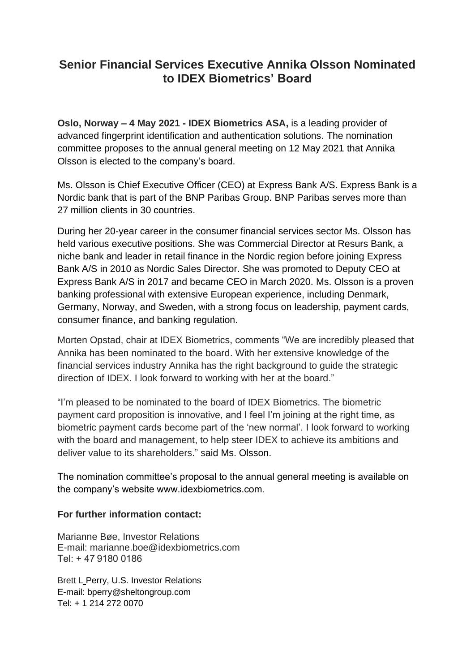## **Senior Financial Services Executive Annika Olsson Nominated to IDEX Biometrics' Board**

**Oslo, Norway – 4 May 2021 - IDEX Biometrics ASA,** is a leading provider of advanced fingerprint identification and authentication solutions. The nomination committee proposes to the annual general meeting on 12 May 2021 that Annika Olsson is elected to the company's board.

Ms. Olsson is Chief Executive Officer (CEO) at Express Bank A/S. Express Bank is a Nordic bank that is part of the BNP Paribas Group. BNP Paribas serves more than 27 million clients in 30 countries.

During her 20-year career in the consumer financial services sector Ms. Olsson has held various executive positions. She was Commercial Director at Resurs Bank, a niche bank and leader in retail finance in the Nordic region before joining Express Bank A/S in 2010 as Nordic Sales Director. She was promoted to Deputy CEO at Express Bank A/S in 2017 and became CEO in March 2020. Ms. Olsson is a proven banking professional with extensive European experience, including Denmark, Germany, Norway, and Sweden, with a strong focus on leadership, payment cards, consumer finance, and banking regulation.

Morten Opstad, chair at IDEX Biometrics, comments "We are incredibly pleased that Annika has been nominated to the board. With her extensive knowledge of the financial services industry Annika has the right background to guide the strategic direction of IDEX. I look forward to working with her at the board."

"I'm pleased to be nominated to the board of IDEX Biometrics. The biometric payment card proposition is innovative, and I feel I'm joining at the right time, as biometric payment cards become part of the 'new normal'. I look forward to working with the board and management, to help steer IDEX to achieve its ambitions and deliver value to its shareholders." said Ms. Olsson.

The nomination committee's proposal to the annual general meeting is available on the company's website www.idexbiometrics.com.

## **For further information contact:**

Marianne Bøe, Investor Relations E-mail: marianne.boe@idexbiometrics.com Tel: + 47 9180 0186

Brett L Perry, U.S. Investor Relations E-mail: [bperry@sheltongroup.com](mailto:bperry@sheltongroup.com) Tel: + 1 214 272 0070